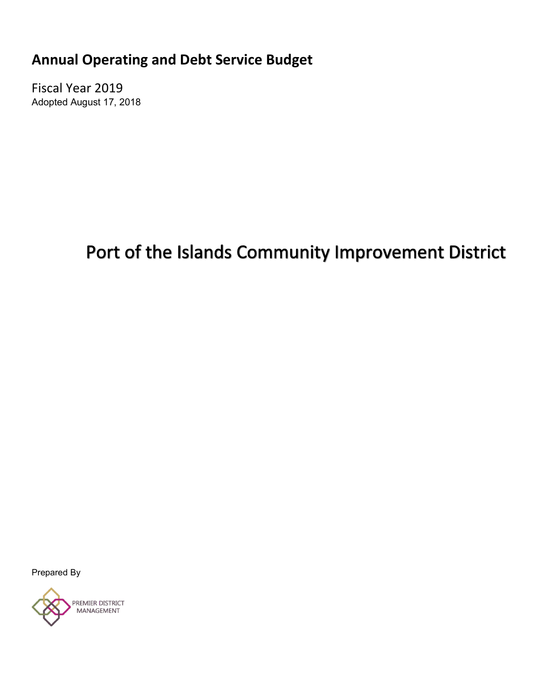**Annual Operating and Debt Service Budget**

Fiscal Year 2019 Adopted August 17, 2018

# Port of the Islands Community Improvement District

Prepared By

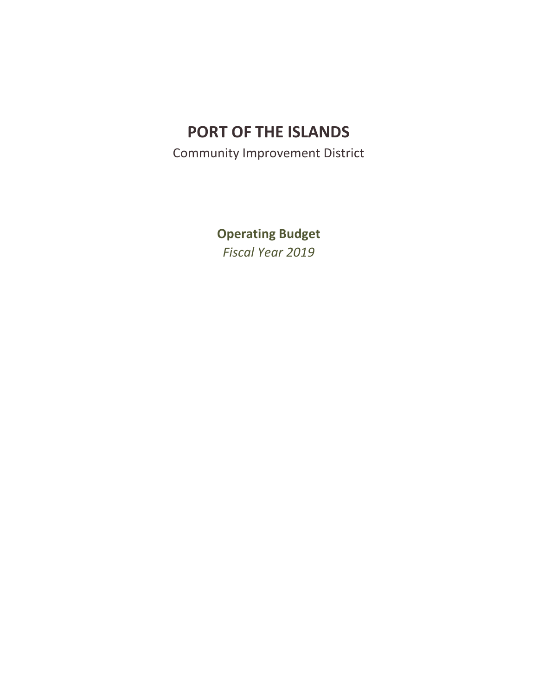Community Improvement District

**Operating Budget** *Fiscal Year 2019*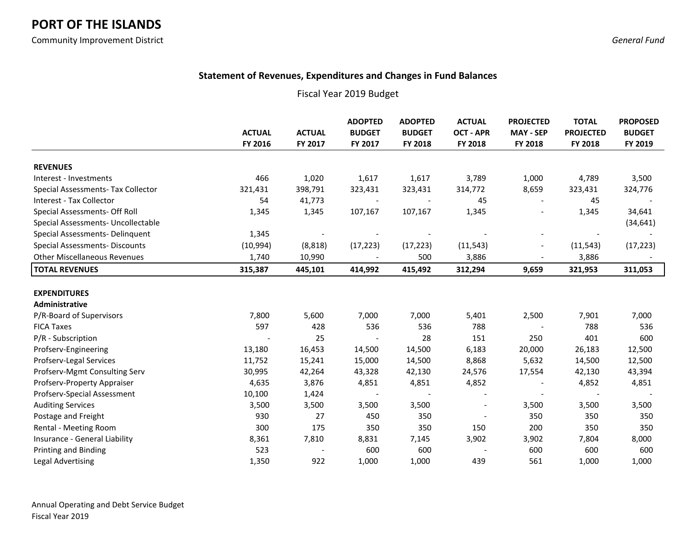Community Improvement District *General Fund*

### **Statement of Revenues, Expenditures and Changes in Fund Balances**

|                                       |               |                | <b>ADOPTED</b> | <b>ADOPTED</b> | <b>ACTUAL</b>    | <b>PROJECTED</b>         | <b>TOTAL</b>     | <b>PROPOSED</b> |
|---------------------------------------|---------------|----------------|----------------|----------------|------------------|--------------------------|------------------|-----------------|
|                                       | <b>ACTUAL</b> | <b>ACTUAL</b>  | <b>BUDGET</b>  | <b>BUDGET</b>  | <b>OCT - APR</b> | <b>MAY - SEP</b>         | <b>PROJECTED</b> | <b>BUDGET</b>   |
|                                       | FY 2016       | FY 2017        | FY 2017        | FY 2018        | FY 2018          | FY 2018                  | FY 2018          | FY 2019         |
| <b>REVENUES</b>                       |               |                |                |                |                  |                          |                  |                 |
| Interest - Investments                | 466           | 1,020          | 1,617          | 1,617          | 3,789            | 1,000                    | 4,789            | 3,500           |
| Special Assessments- Tax Collector    | 321,431       | 398,791        | 323,431        | 323,431        | 314,772          | 8,659                    | 323,431          | 324,776         |
| Interest - Tax Collector              | 54            | 41,773         |                |                | 45               |                          | 45               |                 |
| Special Assessments- Off Roll         | 1,345         | 1,345          | 107,167        | 107,167        | 1,345            | $\overline{\phantom{a}}$ | 1,345            | 34,641          |
| Special Assessments- Uncollectable    |               |                |                |                |                  |                          |                  | (34, 641)       |
| Special Assessments- Delinquent       | 1,345         | $\blacksquare$ |                |                |                  | $\overline{\phantom{a}}$ |                  |                 |
| <b>Special Assessments- Discounts</b> | (10, 994)     | (8, 818)       | (17, 223)      | (17, 223)      | (11, 543)        | $\blacksquare$           | (11, 543)        | (17, 223)       |
| <b>Other Miscellaneous Revenues</b>   | 1,740         | 10,990         |                | 500            | 3,886            | $\overline{a}$           | 3,886            |                 |
| <b>TOTAL REVENUES</b>                 | 315,387       | 445,101        | 414,992        | 415,492        | 312,294          | 9,659                    | 321,953          | 311,053         |
|                                       |               |                |                |                |                  |                          |                  |                 |
| <b>EXPENDITURES</b>                   |               |                |                |                |                  |                          |                  |                 |
| <b>Administrative</b>                 |               |                |                |                |                  |                          |                  |                 |
| P/R-Board of Supervisors              | 7,800         | 5,600          | 7,000          | 7,000          | 5,401            | 2,500                    | 7,901            | 7,000           |
| <b>FICA Taxes</b>                     | 597           | 428            | 536            | 536            | 788              |                          | 788              | 536             |
| P/R - Subscription                    |               | 25             |                | 28             | 151              | 250                      | 401              | 600             |
| Profserv-Engineering                  | 13,180        | 16,453         | 14,500         | 14,500         | 6,183            | 20,000                   | 26,183           | 12,500          |
| Profserv-Legal Services               | 11,752        | 15,241         | 15,000         | 14,500         | 8,868            | 5,632                    | 14,500           | 12,500          |
| Profserv-Mgmt Consulting Serv         | 30,995        | 42,264         | 43,328         | 42,130         | 24,576           | 17,554                   | 42,130           | 43,394          |
| Profserv-Property Appraiser           | 4,635         | 3,876          | 4,851          | 4,851          | 4,852            |                          | 4,852            | 4,851           |
| Profserv-Special Assessment           | 10,100        | 1,424          |                |                |                  |                          |                  |                 |
| <b>Auditing Services</b>              | 3,500         | 3,500          | 3,500          | 3,500          |                  | 3,500                    | 3,500            | 3,500           |
| Postage and Freight                   | 930           | 27             | 450            | 350            |                  | 350                      | 350              | 350             |
| Rental - Meeting Room                 | 300           | 175            | 350            | 350            | 150              | 200                      | 350              | 350             |
| Insurance - General Liability         | 8,361         | 7,810          | 8,831          | 7,145          | 3,902            | 3,902                    | 7,804            | 8,000           |
| <b>Printing and Binding</b>           | 523           |                | 600            | 600            |                  | 600                      | 600              | 600             |
| <b>Legal Advertising</b>              | 1,350         | 922            | 1,000          | 1,000          | 439              | 561                      | 1,000            | 1,000           |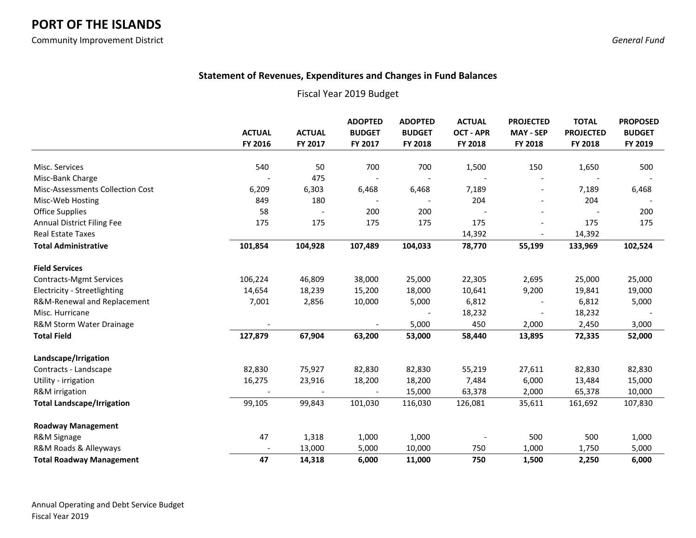Community Improvement District *General Fund*

### **Statement of Revenues, Expenditures and Changes in Fund Balances**

|                                   |               |               | <b>ADOPTED</b> | <b>ADOPTED</b> | <b>ACTUAL</b>    | <b>PROJECTED</b>         | <b>TOTAL</b>     | <b>PROPOSED</b> |
|-----------------------------------|---------------|---------------|----------------|----------------|------------------|--------------------------|------------------|-----------------|
|                                   | <b>ACTUAL</b> | <b>ACTUAL</b> | <b>BUDGET</b>  | <b>BUDGET</b>  | <b>OCT - APR</b> | <b>MAY - SEP</b>         | <b>PROJECTED</b> | <b>BUDGET</b>   |
|                                   | FY 2016       | FY 2017       | FY 2017        | FY 2018        | FY 2018          | FY 2018                  | FY 2018          | FY 2019         |
|                                   |               |               |                |                |                  |                          |                  |                 |
| Misc. Services                    | 540           | 50            | 700            | 700            | 1,500            | 150                      | 1,650            | 500             |
| Misc-Bank Charge                  |               | 475           |                |                |                  |                          |                  |                 |
| Misc-Assessments Collection Cost  | 6,209         | 6,303         | 6,468          | 6,468          | 7,189            | $\overline{\phantom{a}}$ | 7,189            | 6,468           |
| Misc-Web Hosting                  | 849           | 180           |                |                | 204              |                          | 204              |                 |
| <b>Office Supplies</b>            | 58            |               | 200            | 200            |                  |                          |                  | 200             |
| <b>Annual District Filing Fee</b> | 175           | 175           | 175            | 175            | 175              |                          | 175              | 175             |
| <b>Real Estate Taxes</b>          |               |               |                |                | 14,392           | $\overline{\phantom{a}}$ | 14,392           |                 |
| <b>Total Administrative</b>       | 101,854       | 104,928       | 107,489        | 104,033        | 78,770           | 55,199                   | 133,969          | 102,524         |
| <b>Field Services</b>             |               |               |                |                |                  |                          |                  |                 |
| <b>Contracts-Mgmt Services</b>    | 106,224       | 46,809        | 38,000         | 25,000         | 22,305           | 2,695                    | 25,000           | 25,000          |
| Electricity - Streetlighting      | 14,654        | 18,239        | 15,200         | 18,000         | 10,641           | 9,200                    | 19,841           | 19,000          |
| R&M-Renewal and Replacement       | 7,001         | 2,856         | 10,000         | 5,000          | 6,812            |                          | 6,812            | 5,000           |
| Misc. Hurricane                   |               |               |                |                | 18,232           |                          | 18,232           |                 |
| R&M Storm Water Drainage          |               |               |                | 5,000          | 450              | 2,000                    | 2,450            | 3,000           |
| <b>Total Field</b>                | 127,879       | 67,904        | 63,200         | 53,000         | 58,440           | 13,895                   | 72,335           | 52,000          |
| Landscape/Irrigation              |               |               |                |                |                  |                          |                  |                 |
| Contracts - Landscape             | 82,830        | 75,927        | 82,830         | 82,830         | 55,219           | 27,611                   | 82,830           | 82,830          |
| Utility - irrigation              | 16,275        | 23,916        | 18,200         | 18,200         | 7,484            | 6,000                    | 13,484           | 15,000          |
| R&M irrigation                    |               |               |                | 15,000         | 63,378           | 2,000                    | 65,378           | 10,000          |
| <b>Total Landscape/Irrigation</b> | 99,105        | 99,843        | 101,030        | 116,030        | 126,081          | 35,611                   | 161,692          | 107,830         |
| <b>Roadway Management</b>         |               |               |                |                |                  |                          |                  |                 |
| R&M Signage                       | 47            | 1,318         | 1,000          | 1,000          |                  | 500                      | 500              | 1,000           |
| R&M Roads & Alleyways             |               | 13,000        | 5,000          | 10,000         | 750              | 1,000                    | 1,750            | 5,000           |
| <b>Total Roadway Management</b>   | 47            | 14,318        | 6,000          | 11,000         | 750              | 1,500                    | 2,250            | 6,000           |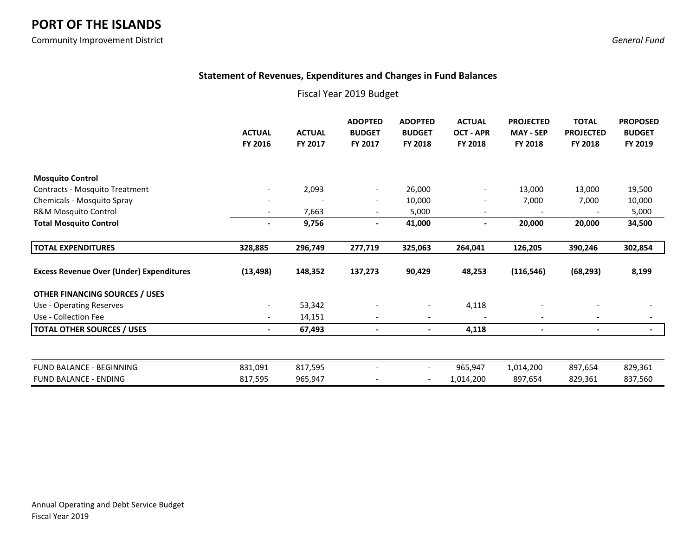Community Improvement District *General Fund*

### **Statement of Revenues, Expenditures and Changes in Fund Balances**

|                                                 | <b>ACTUAL</b><br>FY 2016 | <b>ACTUAL</b><br>FY 2017 | <b>ADOPTED</b><br><b>BUDGET</b><br>FY 2017 | <b>ADOPTED</b><br><b>BUDGET</b><br><b>FY 2018</b> | <b>ACTUAL</b><br><b>OCT - APR</b><br>FY 2018 | <b>PROJECTED</b><br><b>MAY - SEP</b><br>FY 2018 | <b>TOTAL</b><br><b>PROJECTED</b><br>FY 2018 | <b>PROPOSED</b><br><b>BUDGET</b><br>FY 2019 |
|-------------------------------------------------|--------------------------|--------------------------|--------------------------------------------|---------------------------------------------------|----------------------------------------------|-------------------------------------------------|---------------------------------------------|---------------------------------------------|
|                                                 |                          |                          |                                            |                                                   |                                              |                                                 |                                             |                                             |
| <b>Mosquito Control</b>                         |                          |                          |                                            |                                                   |                                              |                                                 |                                             |                                             |
| Contracts - Mosquito Treatment                  |                          | 2,093                    |                                            | 26,000                                            | $\blacksquare$                               | 13,000                                          | 13,000                                      | 19,500                                      |
| Chemicals - Mosquito Spray                      |                          |                          |                                            | 10,000                                            |                                              | 7,000                                           | 7,000                                       | 10,000                                      |
| R&M Mosquito Control                            |                          | 7,663                    |                                            | 5,000                                             |                                              |                                                 |                                             | 5,000                                       |
| <b>Total Mosquito Control</b>                   | $\overline{\phantom{a}}$ | 9,756                    | -                                          | 41,000                                            | $\overline{\phantom{a}}$                     | 20,000                                          | 20,000                                      | 34,500                                      |
| <b>TOTAL EXPENDITURES</b>                       | 328,885                  | 296,749                  | 277,719                                    | 325,063                                           | 264,041                                      | 126,205                                         | 390,246                                     | 302,854                                     |
| <b>Excess Revenue Over (Under) Expenditures</b> | (13, 498)                | 148,352                  | 137,273                                    | 90,429                                            | 48,253                                       | (116, 546)                                      | (68, 293)                                   | 8,199                                       |
| <b>OTHER FINANCING SOURCES / USES</b>           |                          |                          |                                            |                                                   |                                              |                                                 |                                             |                                             |
| Use - Operating Reserves                        |                          | 53,342                   |                                            |                                                   | 4,118                                        |                                                 |                                             |                                             |
| Use - Collection Fee                            | $\overline{\phantom{a}}$ | 14,151                   | $\overline{\phantom{a}}$                   | $\overline{\phantom{a}}$                          |                                              | $\overline{\phantom{a}}$                        | $\overline{\phantom{a}}$                    |                                             |
| <b>TOTAL OTHER SOURCES / USES</b>               | $\blacksquare$           | 67,493                   | -                                          | $\blacksquare$                                    | 4,118                                        | $\overline{\phantom{a}}$                        |                                             | $\blacksquare$                              |
|                                                 |                          |                          |                                            |                                                   |                                              |                                                 |                                             |                                             |
| FUND BALANCE - BEGINNING                        | 831,091                  | 817,595                  |                                            |                                                   | 965,947                                      | 1,014,200                                       | 897,654                                     | 829,361                                     |
| <b>FUND BALANCE - ENDING</b>                    | 817,595                  | 965,947                  |                                            |                                                   | 1,014,200                                    | 897,654                                         | 829,361                                     | 837,560                                     |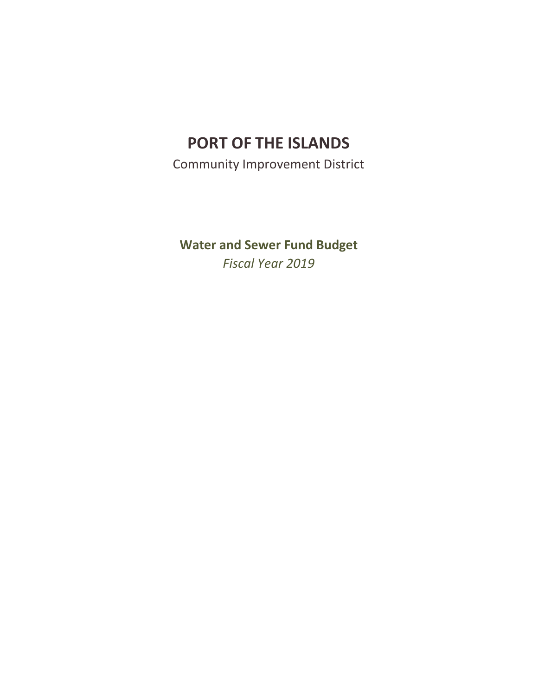Community Improvement District

**Water and Sewer Fund Budget** *Fiscal Year 2019*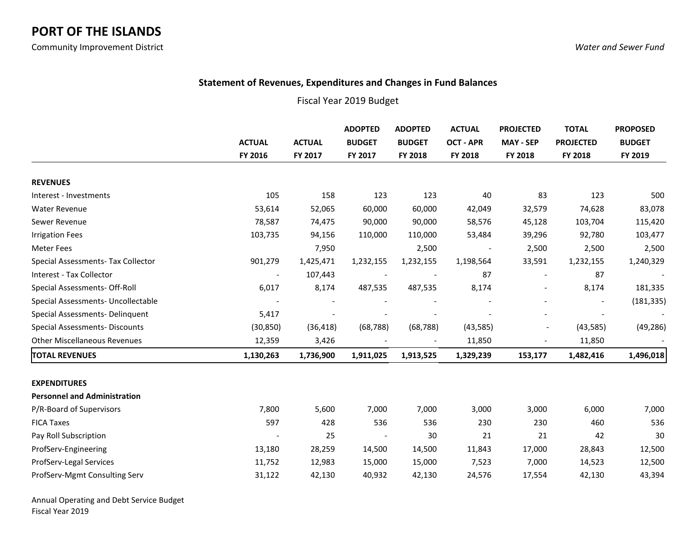### **Statement of Revenues, Expenditures and Changes in Fund Balances**

### Fiscal Year 2019 Budget

|                                       | <b>ACTUAL</b>            | <b>ACTUAL</b> | <b>ADOPTED</b><br><b>BUDGET</b> | <b>ADOPTED</b><br><b>BUDGET</b> | <b>ACTUAL</b><br><b>OCT - APR</b> | <b>PROJECTED</b><br><b>MAY - SEP</b> | <b>TOTAL</b><br><b>PROJECTED</b> | <b>PROPOSED</b><br><b>BUDGET</b> |
|---------------------------------------|--------------------------|---------------|---------------------------------|---------------------------------|-----------------------------------|--------------------------------------|----------------------------------|----------------------------------|
|                                       | FY 2016                  | FY 2017       | FY 2017                         | FY 2018                         | FY 2018                           | FY 2018                              | FY 2018                          | FY 2019                          |
| <b>REVENUES</b>                       |                          |               |                                 |                                 |                                   |                                      |                                  |                                  |
| Interest - Investments                | 105                      | 158           | 123                             | 123                             | 40                                | 83                                   | 123                              | 500                              |
| <b>Water Revenue</b>                  | 53,614                   | 52,065        | 60,000                          | 60,000                          | 42,049                            | 32,579                               | 74,628                           | 83,078                           |
| Sewer Revenue                         | 78,587                   | 74,475        | 90,000                          | 90,000                          | 58,576                            | 45,128                               | 103,704                          | 115,420                          |
| <b>Irrigation Fees</b>                | 103,735                  | 94,156        | 110,000                         | 110,000                         | 53,484                            | 39,296                               | 92,780                           | 103,477                          |
| <b>Meter Fees</b>                     |                          | 7,950         |                                 | 2,500                           |                                   | 2,500                                | 2,500                            | 2,500                            |
| Special Assessments- Tax Collector    | 901,279                  | 1,425,471     | 1,232,155                       | 1,232,155                       | 1,198,564                         | 33,591                               | 1,232,155                        | 1,240,329                        |
| Interest - Tax Collector              | $\overline{\phantom{a}}$ | 107,443       |                                 |                                 | 87                                |                                      | 87                               |                                  |
| Special Assessments- Off-Roll         | 6,017                    | 8,174         | 487,535                         | 487,535                         | 8,174                             |                                      | 8,174                            | 181,335                          |
| Special Assessments- Uncollectable    |                          |               |                                 |                                 |                                   |                                      |                                  | (181, 335)                       |
| Special Assessments- Delinquent       | 5,417                    |               |                                 |                                 |                                   |                                      |                                  |                                  |
| <b>Special Assessments- Discounts</b> | (30, 850)                | (36, 418)     | (68, 788)                       | (68, 788)                       | (43, 585)                         |                                      | (43, 585)                        | (49, 286)                        |
| <b>Other Miscellaneous Revenues</b>   | 12,359                   | 3,426         |                                 |                                 | 11,850                            |                                      | 11,850                           |                                  |
| <b>TOTAL REVENUES</b>                 | 1,130,263                | 1,736,900     | 1,911,025                       | 1,913,525                       | 1,329,239                         | 153,177                              | 1,482,416                        | 1,496,018                        |
| <b>EXPENDITURES</b>                   |                          |               |                                 |                                 |                                   |                                      |                                  |                                  |
| <b>Personnel and Administration</b>   |                          |               |                                 |                                 |                                   |                                      |                                  |                                  |
| P/R-Board of Supervisors              | 7,800                    | 5,600         | 7,000                           | 7,000                           | 3,000                             | 3,000                                | 6,000                            | 7,000                            |
| <b>FICA Taxes</b>                     | 597                      | 428           | 536                             | 536                             | 230                               | 230                                  | 460                              | 536                              |
| Pay Roll Subscription                 |                          | 25            |                                 | 30                              | 21                                | 21                                   | 42                               | 30                               |
| ProfServ-Engineering                  | 13,180                   | 28,259        | 14,500                          | 14,500                          | 11,843                            | 17,000                               | 28,843                           | 12,500                           |
| ProfServ-Legal Services               | 11,752                   | 12,983        | 15,000                          | 15,000                          | 7,523                             | 7,000                                | 14,523                           | 12,500                           |
| ProfServ-Mgmt Consulting Serv         | 31,122                   | 42,130        | 40,932                          | 42,130                          | 24,576                            | 17,554                               | 42,130                           | 43,394                           |

Annual Operating and Debt Service Budget Fiscal Year 2019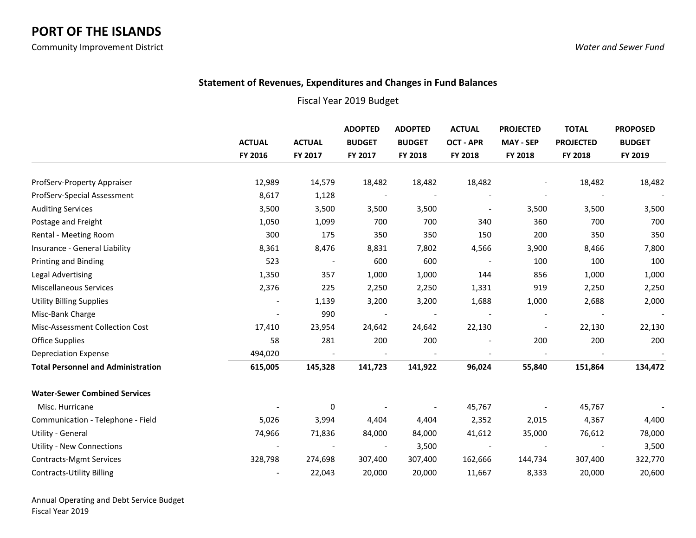### **Statement of Revenues, Expenditures and Changes in Fund Balances**

|                                           |                          |               | <b>ADOPTED</b>           | <b>ADOPTED</b><br><b>BUDGET</b><br><b>BUDGET</b> | <b>ACTUAL</b><br><b>OCT - APR</b><br>FY 2018 | <b>PROJECTED</b><br><b>MAY - SEP</b><br>FY 2018 | <b>TOTAL</b><br><b>PROJECTED</b><br>FY 2018 | <b>PROPOSED</b><br><b>BUDGET</b> |
|-------------------------------------------|--------------------------|---------------|--------------------------|--------------------------------------------------|----------------------------------------------|-------------------------------------------------|---------------------------------------------|----------------------------------|
|                                           | <b>ACTUAL</b>            | <b>ACTUAL</b> |                          |                                                  |                                              |                                                 |                                             |                                  |
|                                           | FY 2016                  | FY 2017       | FY 2017                  | FY 2018                                          |                                              |                                                 |                                             | FY 2019                          |
| ProfServ-Property Appraiser               | 12,989                   | 14,579        | 18,482                   | 18,482                                           | 18,482                                       |                                                 | 18,482                                      | 18,482                           |
| ProfServ-Special Assessment               | 8,617                    | 1,128         |                          |                                                  |                                              |                                                 |                                             |                                  |
| <b>Auditing Services</b>                  | 3,500                    | 3,500         | 3,500                    | 3,500                                            | $\overline{\phantom{a}}$                     | 3,500                                           | 3,500                                       | 3,500                            |
| Postage and Freight                       | 1,050                    | 1,099         | 700                      | 700                                              | 340                                          | 360                                             | 700                                         | 700                              |
| Rental - Meeting Room                     | 300                      | 175           | 350                      | 350                                              | 150                                          | 200                                             | 350                                         | 350                              |
| Insurance - General Liability             | 8,361                    | 8,476         | 8,831                    | 7,802                                            | 4,566                                        | 3,900                                           | 8,466                                       | 7,800                            |
| Printing and Binding                      | 523                      |               | 600                      | 600                                              |                                              | 100                                             | 100                                         | 100                              |
| Legal Advertising                         | 1,350                    | 357           | 1,000                    | 1,000                                            | 144                                          | 856                                             | 1,000                                       | 1,000                            |
| Miscellaneous Services                    | 2,376                    | 225           | 2,250                    | 2,250                                            | 1,331                                        | 919                                             | 2,250                                       | 2,250                            |
| <b>Utility Billing Supplies</b>           | $\overline{\phantom{a}}$ | 1,139         | 3,200                    | 3,200                                            | 1,688                                        | 1,000                                           | 2,688                                       | 2,000                            |
| Misc-Bank Charge                          | $\overline{\phantom{a}}$ | 990           |                          |                                                  |                                              |                                                 |                                             | $\overline{\phantom{a}}$         |
| Misc-Assessment Collection Cost           | 17,410                   | 23,954        | 24,642                   | 24,642                                           | 22,130                                       |                                                 | 22,130                                      | 22,130                           |
| <b>Office Supplies</b>                    | 58                       | 281           | 200                      | 200                                              |                                              | 200                                             | 200                                         | 200                              |
| <b>Depreciation Expense</b>               | 494,020                  |               |                          |                                                  |                                              |                                                 |                                             |                                  |
| <b>Total Personnel and Administration</b> | 615,005                  | 145,328       | 141,723                  | 141,922                                          | 96,024                                       | 55,840                                          | 151,864                                     | 134,472                          |
| <b>Water-Sewer Combined Services</b>      |                          |               |                          |                                                  |                                              |                                                 |                                             |                                  |
| Misc. Hurricane                           |                          | 0             |                          |                                                  | 45,767                                       |                                                 | 45,767                                      |                                  |
| Communication - Telephone - Field         | 5,026                    | 3,994         | 4,404                    | 4,404                                            | 2,352                                        | 2,015                                           | 4,367                                       | 4,400                            |
| Utility - General                         | 74,966                   | 71,836        | 84,000                   | 84,000                                           | 41,612                                       | 35,000                                          | 76,612                                      | 78,000                           |
| <b>Utility - New Connections</b>          |                          |               | $\overline{\phantom{a}}$ | 3,500                                            |                                              |                                                 |                                             | 3,500                            |
| <b>Contracts-Mgmt Services</b>            | 328,798                  | 274,698       | 307,400                  | 307,400                                          | 162,666                                      | 144,734                                         | 307,400                                     | 322,770                          |
| <b>Contracts-Utility Billing</b>          |                          | 22,043        | 20,000                   | 20,000                                           | 11,667                                       | 8,333                                           | 20,000                                      | 20,600                           |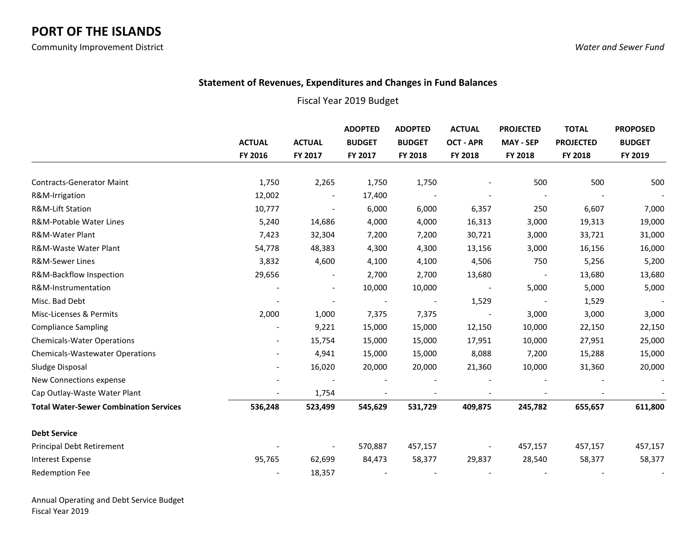### **Statement of Revenues, Expenditures and Changes in Fund Balances**

### Fiscal Year 2019 Budget

|                                               | <b>ACTUAL</b>            | <b>ACTUAL</b>            | <b>ADOPTED</b><br><b>BUDGET</b> | <b>ADOPTED</b><br><b>BUDGET</b> | <b>ACTUAL</b><br><b>OCT - APR</b> | <b>PROJECTED</b><br><b>MAY - SEP</b> | <b>TOTAL</b><br><b>PROJECTED</b> | <b>PROPOSED</b><br><b>BUDGET</b> |
|-----------------------------------------------|--------------------------|--------------------------|---------------------------------|---------------------------------|-----------------------------------|--------------------------------------|----------------------------------|----------------------------------|
|                                               | FY 2016                  | FY 2017                  | FY 2017                         | FY 2018                         | FY 2018                           | FY 2018                              | FY 2018                          | FY 2019                          |
| <b>Contracts-Generator Maint</b>              | 1,750                    | 2,265                    | 1,750                           | 1,750                           |                                   | 500                                  | 500                              | 500                              |
| R&M-Irrigation                                | 12,002                   |                          | 17,400                          |                                 |                                   |                                      |                                  |                                  |
| <b>R&amp;M-Lift Station</b>                   | 10,777                   | $\overline{\phantom{0}}$ | 6,000                           | 6,000                           | 6,357                             | 250                                  | 6,607                            | 7,000                            |
| R&M-Potable Water Lines                       | 5,240                    | 14,686                   | 4,000                           | 4,000                           | 16,313                            | 3,000                                | 19,313                           | 19,000                           |
| R&M-Water Plant                               | 7,423                    | 32,304                   | 7,200                           | 7,200                           | 30,721                            | 3,000                                | 33,721                           | 31,000                           |
| R&M-Waste Water Plant                         | 54,778                   | 48,383                   | 4,300                           | 4,300                           | 13,156                            | 3,000                                | 16,156                           | 16,000                           |
| <b>R&amp;M-Sewer Lines</b>                    | 3,832                    | 4,600                    | 4,100                           | 4,100                           | 4,506                             | 750                                  | 5,256                            | 5,200                            |
| R&M-Backflow Inspection                       | 29,656                   | $\blacksquare$           | 2,700                           | 2,700                           | 13,680                            | $\overline{\phantom{a}}$             | 13,680                           | 13,680                           |
| R&M-Instrumentation                           |                          |                          | 10,000                          | 10,000                          |                                   | 5,000                                | 5,000                            | 5,000                            |
| Misc. Bad Debt                                |                          |                          |                                 | $\overline{\phantom{a}}$        | 1,529                             |                                      | 1,529                            |                                  |
| Misc-Licenses & Permits                       | 2,000                    | 1,000                    | 7,375                           | 7,375                           |                                   | 3,000                                | 3,000                            | 3,000                            |
| <b>Compliance Sampling</b>                    |                          | 9,221                    | 15,000                          | 15,000                          | 12,150                            | 10,000                               | 22,150                           | 22,150                           |
| <b>Chemicals-Water Operations</b>             |                          | 15,754                   | 15,000                          | 15,000                          | 17,951                            | 10,000                               | 27,951                           | 25,000                           |
| <b>Chemicals-Wastewater Operations</b>        |                          | 4,941                    | 15,000                          | 15,000                          | 8,088                             | 7,200                                | 15,288                           | 15,000                           |
| Sludge Disposal                               | $\overline{\phantom{a}}$ | 16,020                   | 20,000                          | 20,000                          | 21,360                            | 10,000                               | 31,360                           | 20,000                           |
| New Connections expense                       |                          |                          |                                 |                                 |                                   |                                      |                                  |                                  |
| Cap Outlay-Waste Water Plant                  |                          | 1,754                    |                                 |                                 |                                   |                                      |                                  |                                  |
| <b>Total Water-Sewer Combination Services</b> | 536,248                  | 523,499                  | 545,629                         | 531,729                         | 409,875                           | 245,782                              | 655,657                          | 611,800                          |
| <b>Debt Service</b>                           |                          |                          |                                 |                                 |                                   |                                      |                                  |                                  |
| Principal Debt Retirement                     |                          |                          | 570,887                         | 457,157                         |                                   | 457,157                              | 457,157                          | 457,157                          |
| <b>Interest Expense</b>                       | 95,765                   | 62,699                   | 84,473                          | 58,377                          | 29,837                            | 28,540                               | 58,377                           | 58,377                           |
| <b>Redemption Fee</b>                         |                          | 18,357                   |                                 |                                 |                                   |                                      |                                  |                                  |

Annual Operating and Debt Service Budget Fiscal Year 2019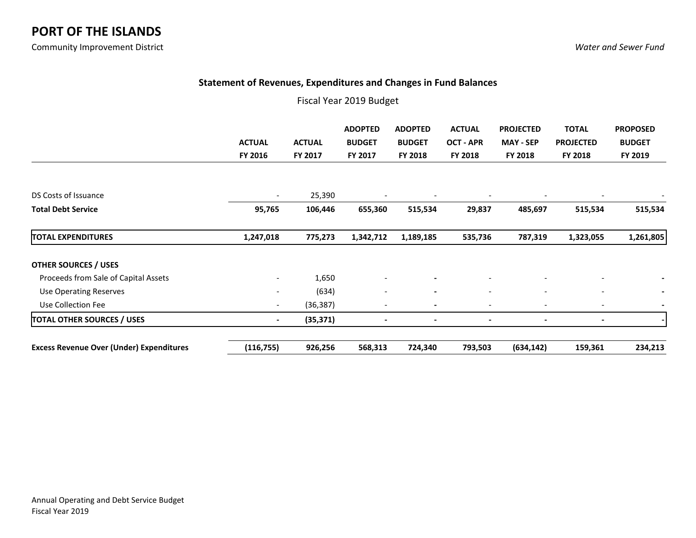### **Statement of Revenues, Expenditures and Changes in Fund Balances**

|                                                 | <b>ACTUAL</b><br>FY 2016     | <b>ACTUAL</b><br>FY 2017 | <b>ADOPTED</b><br><b>BUDGET</b><br>FY 2017 | <b>ADOPTED</b><br><b>BUDGET</b><br><b>FY 2018</b> | <b>ACTUAL</b><br>OCT - APR<br>FY 2018 | <b>PROJECTED</b><br><b>MAY - SEP</b><br>FY 2018 | <b>TOTAL</b><br><b>PROJECTED</b><br>FY 2018 | <b>PROPOSED</b><br><b>BUDGET</b><br>FY 2019 |
|-------------------------------------------------|------------------------------|--------------------------|--------------------------------------------|---------------------------------------------------|---------------------------------------|-------------------------------------------------|---------------------------------------------|---------------------------------------------|
| DS Costs of Issuance                            | $\overline{\phantom{a}}$     | 25,390                   |                                            | $\overline{\phantom{a}}$                          |                                       |                                                 | $\qquad \qquad \blacksquare$                |                                             |
| <b>Total Debt Service</b>                       | 95,765                       | 106,446                  | 655,360                                    | 515,534                                           | 29,837                                | 485,697                                         | 515,534                                     | 515,534                                     |
| <b>TOTAL EXPENDITURES</b>                       | 1,247,018                    | 775,273                  | 1,342,712                                  | 1,189,185                                         | 535,736                               | 787,319                                         | 1,323,055                                   | 1,261,805                                   |
| <b>OTHER SOURCES / USES</b>                     |                              |                          |                                            |                                                   |                                       |                                                 |                                             |                                             |
| Proceeds from Sale of Capital Assets            | $\overline{\phantom{a}}$     | 1,650                    |                                            | $\overline{\phantom{a}}$                          |                                       |                                                 | $\overline{\phantom{a}}$                    |                                             |
| <b>Use Operating Reserves</b>                   | $\qquad \qquad \blacksquare$ | (634)                    | $\overline{\phantom{a}}$                   | $\overline{\phantom{a}}$                          | $\overline{\phantom{a}}$              | $\overline{\phantom{a}}$                        | $\overline{\phantom{a}}$                    |                                             |
| Use Collection Fee                              | $\overline{\phantom{a}}$     | (36, 387)                | $\overline{\phantom{a}}$                   | $\blacksquare$                                    | $\overline{\phantom{a}}$              | $\overline{\phantom{a}}$                        | $\overline{\phantom{a}}$                    |                                             |
| <b>TOTAL OTHER SOURCES / USES</b>               | $\blacksquare$               | (35, 371)                | $\blacksquare$                             | $\overline{\phantom{a}}$                          | $\overline{\phantom{a}}$              |                                                 | $\blacksquare$                              | $\hbox{\small -}$                           |
| <b>Excess Revenue Over (Under) Expenditures</b> | (116, 755)                   | 926,256                  | 568,313                                    | 724,340                                           | 793,503                               | (634, 142)                                      | 159,361                                     | 234,213                                     |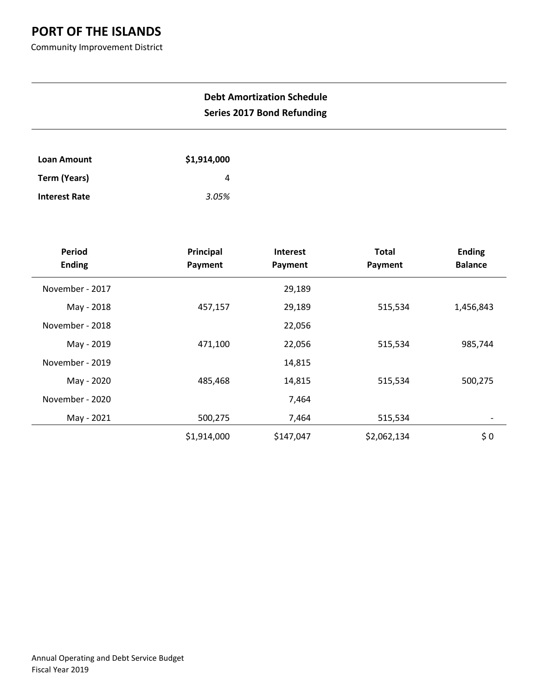Community Improvement District

## **Debt Amortization Schedule Series 2017 Bond Refunding**

| Loan Amount          | \$1,914,000 |
|----------------------|-------------|
| Term (Years)         |             |
| <b>Interest Rate</b> | 3.05%       |

| <b>Period</b>   | Principal   | <b>Interest</b> | <b>Total</b> | <b>Ending</b>  |
|-----------------|-------------|-----------------|--------------|----------------|
| <b>Ending</b>   | Payment     | Payment         | Payment      | <b>Balance</b> |
| November - 2017 |             | 29,189          |              |                |
| May - 2018      | 457,157     | 29,189          | 515,534      | 1,456,843      |
| November - 2018 |             | 22,056          |              |                |
| May - 2019      | 471,100     | 22,056          | 515,534      | 985,744        |
| November - 2019 |             | 14,815          |              |                |
| May - 2020      | 485,468     | 14,815          | 515,534      | 500,275        |
| November - 2020 |             | 7,464           |              |                |
| May - 2021      | 500,275     | 7,464           | 515,534      | -              |
|                 | \$1,914,000 | \$147,047       | \$2,062,134  | \$0            |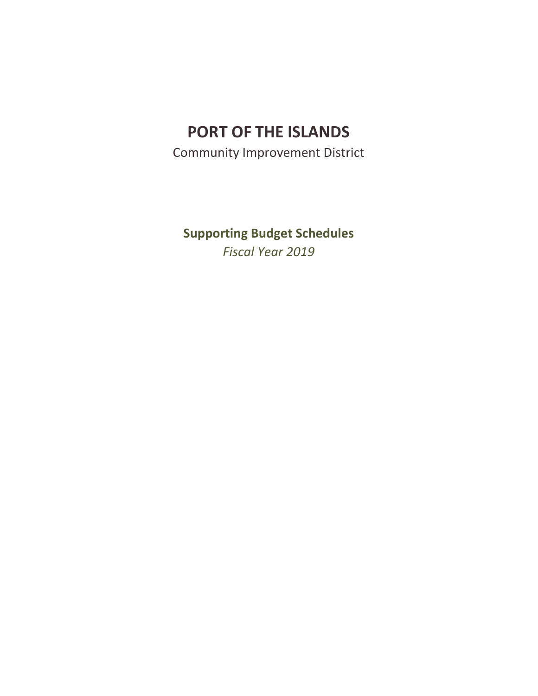Community Improvement District

**Supporting Budget Schedules** *Fiscal Year 2019*